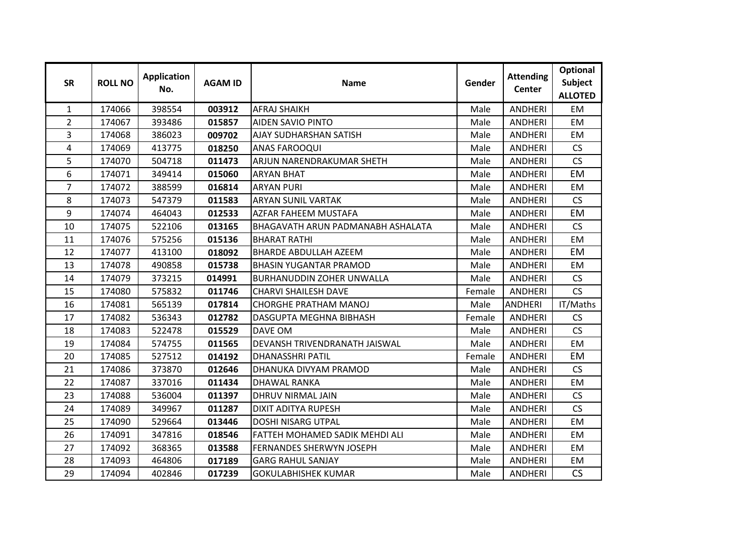| <b>SR</b>      | <b>ROLL NO</b> | <b>Application</b><br>No. | <b>AGAM ID</b> | <b>Name</b>                              | Gender | <b>Attending</b><br><b>Center</b> | Optional<br><b>Subject</b><br><b>ALLOTED</b> |
|----------------|----------------|---------------------------|----------------|------------------------------------------|--------|-----------------------------------|----------------------------------------------|
| 1              | 174066         | 398554                    | 003912         | <b>AFRAJ SHAIKH</b>                      | Male   | <b>ANDHERI</b>                    | <b>EM</b>                                    |
| $\overline{2}$ | 174067         | 393486                    | 015857         | <b>AIDEN SAVIO PINTO</b>                 | Male   | <b>ANDHERI</b>                    | <b>EM</b>                                    |
| 3              | 174068         | 386023                    | 009702         | AJAY SUDHARSHAN SATISH                   | Male   | <b>ANDHERI</b>                    | EM                                           |
| 4              | 174069         | 413775                    | 018250         | <b>ANAS FAROOQUI</b>                     | Male   | <b>ANDHERI</b>                    | <b>CS</b>                                    |
| 5              | 174070         | 504718                    | 011473         | ARJUN NARENDRAKUMAR SHETH                | Male   | <b>ANDHERI</b>                    | CS                                           |
| 6              | 174071         | 349414                    | 015060         | <b>ARYAN BHAT</b>                        | Male   | <b>ANDHERI</b>                    | EM                                           |
| 7              | 174072         | 388599                    | 016814         | <b>ARYAN PURI</b>                        | Male   | <b>ANDHERI</b>                    | <b>EM</b>                                    |
| 8              | 174073         | 547379                    | 011583         | <b>ARYAN SUNIL VARTAK</b>                | Male   | <b>ANDHERI</b>                    | CS                                           |
| 9              | 174074         | 464043                    | 012533         | <b>AZFAR FAHEEM MUSTAFA</b>              | Male   | <b>ANDHERI</b>                    | EM                                           |
| 10             | 174075         | 522106                    | 013165         | <b>BHAGAVATH ARUN PADMANABH ASHALATA</b> | Male   | <b>ANDHERI</b>                    | <b>CS</b>                                    |
| 11             | 174076         | 575256                    | 015136         | <b>BHARAT RATHI</b>                      | Male   | <b>ANDHERI</b>                    | <b>EM</b>                                    |
| 12             | 174077         | 413100                    | 018092         | <b>BHARDE ABDULLAH AZEEM</b>             | Male   | <b>ANDHERI</b>                    | EM                                           |
| 13             | 174078         | 490858                    | 015738         | <b>BHASIN YUGANTAR PRAMOD</b>            | Male   | <b>ANDHERI</b>                    | <b>EM</b>                                    |
| 14             | 174079         | 373215                    | 014991         | <b>BURHANUDDIN ZOHER UNWALLA</b>         | Male   | <b>ANDHERI</b>                    | CS                                           |
| 15             | 174080         | 575832                    | 011746         | <b>CHARVI SHAILESH DAVE</b>              | Female | <b>ANDHERI</b>                    | CS                                           |
| 16             | 174081         | 565139                    | 017814         | <b>CHORGHE PRATHAM MANOJ</b>             | Male   | <b>ANDHERI</b>                    | IT/Maths                                     |
| 17             | 174082         | 536343                    | 012782         | DASGUPTA MEGHNA BIBHASH                  | Female | <b>ANDHERI</b>                    | <b>CS</b>                                    |
| 18             | 174083         | 522478                    | 015529         | <b>DAVE OM</b>                           | Male   | <b>ANDHERI</b>                    | <b>CS</b>                                    |
| 19             | 174084         | 574755                    | 011565         | DEVANSH TRIVENDRANATH JAISWAL            | Male   | <b>ANDHERI</b>                    | EM                                           |
| 20             | 174085         | 527512                    | 014192         | <b>DHANASSHRI PATIL</b>                  | Female | <b>ANDHERI</b>                    | EM                                           |
| 21             | 174086         | 373870                    | 012646         | DHANUKA DIVYAM PRAMOD                    | Male   | <b>ANDHERI</b>                    | <b>CS</b>                                    |
| 22             | 174087         | 337016                    | 011434         | <b>DHAWAL RANKA</b>                      | Male   | <b>ANDHERI</b>                    | <b>EM</b>                                    |
| 23             | 174088         | 536004                    | 011397         | <b>DHRUV NIRMAL JAIN</b>                 | Male   | <b>ANDHERI</b>                    | <b>CS</b>                                    |
| 24             | 174089         | 349967                    | 011287         | <b>DIXIT ADITYA RUPESH</b>               | Male   | <b>ANDHERI</b>                    | <b>CS</b>                                    |
| 25             | 174090         | 529664                    | 013446         | <b>DOSHI NISARG UTPAL</b>                | Male   | <b>ANDHERI</b>                    | <b>EM</b>                                    |
| 26             | 174091         | 347816                    | 018546         | <b>FATTEH MOHAMED SADIK MEHDI ALI</b>    | Male   | <b>ANDHERI</b>                    | <b>EM</b>                                    |
| 27             | 174092         | 368365                    | 013588         | <b>FERNANDES SHERWYN JOSEPH</b>          | Male   | <b>ANDHERI</b>                    | <b>EM</b>                                    |
| 28             | 174093         | 464806                    | 017189         | <b>GARG RAHUL SANJAY</b>                 | Male   | <b>ANDHERI</b>                    | EM                                           |
| 29             | 174094         | 402846                    | 017239         | <b>GOKULABHISHEK KUMAR</b>               | Male   | <b>ANDHERI</b>                    | CS                                           |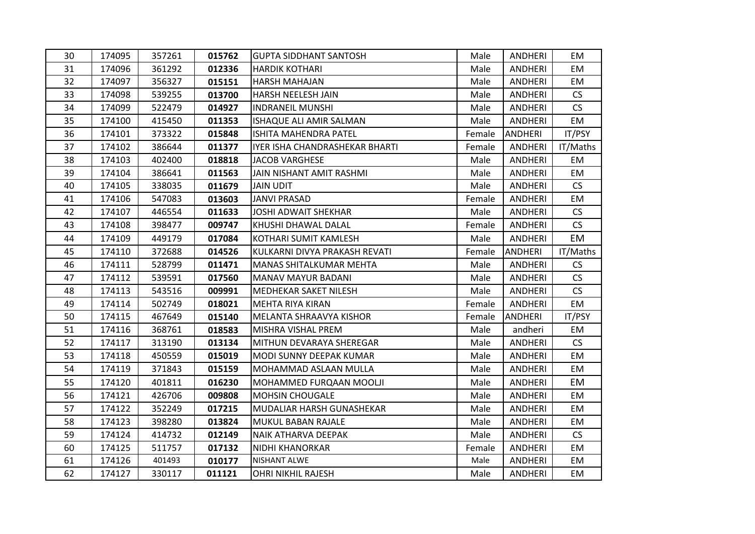| 30 | 174095 | 357261 | 015762 | <b>GUPTA SIDDHANT SANTOSH</b>  | Male   | <b>ANDHERI</b> | EM        |
|----|--------|--------|--------|--------------------------------|--------|----------------|-----------|
| 31 | 174096 | 361292 | 012336 | <b>HARDIK KOTHARI</b>          | Male   | <b>ANDHERI</b> | EM        |
| 32 | 174097 | 356327 | 015151 | <b>HARSH MAHAJAN</b>           | Male   | <b>ANDHERI</b> | EM        |
| 33 | 174098 | 539255 | 013700 | HARSH NEELESH JAIN             | Male   | <b>ANDHERI</b> | <b>CS</b> |
| 34 | 174099 | 522479 | 014927 | <b>INDRANEIL MUNSHI</b>        | Male   | ANDHERI        | <b>CS</b> |
| 35 | 174100 | 415450 | 011353 | ISHAQUE ALI AMIR SALMAN        | Male   | <b>ANDHERI</b> | <b>EM</b> |
| 36 | 174101 | 373322 | 015848 | ISHITA MAHENDRA PATEL          | Female | <b>ANDHERI</b> | IT/PSY    |
| 37 | 174102 | 386644 | 011377 | IYER ISHA CHANDRASHEKAR BHARTI | Female | ANDHERI        | IT/Maths  |
| 38 | 174103 | 402400 | 018818 | <b>JACOB VARGHESE</b>          | Male   | <b>ANDHERI</b> | EM        |
| 39 | 174104 | 386641 | 011563 | JAIN NISHANT AMIT RASHMI       | Male   | <b>ANDHERI</b> | EM        |
| 40 | 174105 | 338035 | 011679 | <b>JAIN UDIT</b>               | Male   | ANDHERI        | <b>CS</b> |
| 41 | 174106 | 547083 | 013603 | <b>JANVI PRASAD</b>            | Female | <b>ANDHERI</b> | <b>EM</b> |
| 42 | 174107 | 446554 | 011633 | <b>JOSHI ADWAIT SHEKHAR</b>    | Male   | <b>ANDHERI</b> | <b>CS</b> |
| 43 | 174108 | 398477 | 009747 | KHUSHI DHAWAL DALAL            | Female | ANDHERI        | <b>CS</b> |
| 44 | 174109 | 449179 | 017084 | <b>KOTHARI SUMIT KAMLESH</b>   | Male   | <b>ANDHERI</b> | EM        |
| 45 | 174110 | 372688 | 014526 | KULKARNI DIVYA PRAKASH REVATI  | Female | <b>ANDHERI</b> | IT/Maths  |
| 46 | 174111 | 528799 | 011471 | MANAS SHITALKUMAR MEHTA        | Male   | <b>ANDHERI</b> | <b>CS</b> |
| 47 | 174112 | 539591 | 017560 | <b>MANAV MAYUR BADANI</b>      | Male   | ANDHERI        | CS        |
| 48 | 174113 | 543516 | 009991 | MEDHEKAR SAKET NILESH          | Male   | ANDHERI        | <b>CS</b> |
| 49 | 174114 | 502749 | 018021 | MEHTA RIYA KIRAN               | Female | <b>ANDHERI</b> | EM        |
| 50 | 174115 | 467649 | 015140 | MELANTA SHRAAVYA KISHOR        | Female | <b>ANDHERI</b> | IT/PSY    |
| 51 | 174116 | 368761 | 018583 | MISHRA VISHAL PREM             | Male   | andheri        | EM        |
| 52 | 174117 | 313190 | 013134 | MITHUN DEVARAYA SHEREGAR       | Male   | <b>ANDHERI</b> | <b>CS</b> |
| 53 | 174118 | 450559 | 015019 | MODI SUNNY DEEPAK KUMAR        | Male   | <b>ANDHERI</b> | EM        |
| 54 | 174119 | 371843 | 015159 | MOHAMMAD ASLAAN MULLA          | Male   | <b>ANDHERI</b> | EM        |
| 55 | 174120 | 401811 | 016230 | MOHAMMED FURQAAN MOOLJI        | Male   | <b>ANDHERI</b> | EM        |
| 56 | 174121 | 426706 | 009808 | <b>MOHSIN CHOUGALE</b>         | Male   | ANDHERI        | EM        |
| 57 | 174122 | 352249 | 017215 | MUDALIAR HARSH GUNASHEKAR      | Male   | <b>ANDHERI</b> | EM        |
| 58 | 174123 | 398280 | 013824 | MUKUL BABAN RAJALE             | Male   | <b>ANDHERI</b> | EM        |
| 59 | 174124 | 414732 | 012149 | NAIK ATHARVA DEEPAK            | Male   | ANDHERI        | <b>CS</b> |
| 60 | 174125 | 511757 | 017132 | NIDHI KHANORKAR                | Female | <b>ANDHERI</b> | EM        |
| 61 | 174126 | 401493 | 010177 | <b>NISHANT ALWE</b>            | Male   | <b>ANDHERI</b> | EM        |
| 62 | 174127 | 330117 | 011121 | <b>OHRI NIKHIL RAJESH</b>      | Male   | <b>ANDHERI</b> | EM        |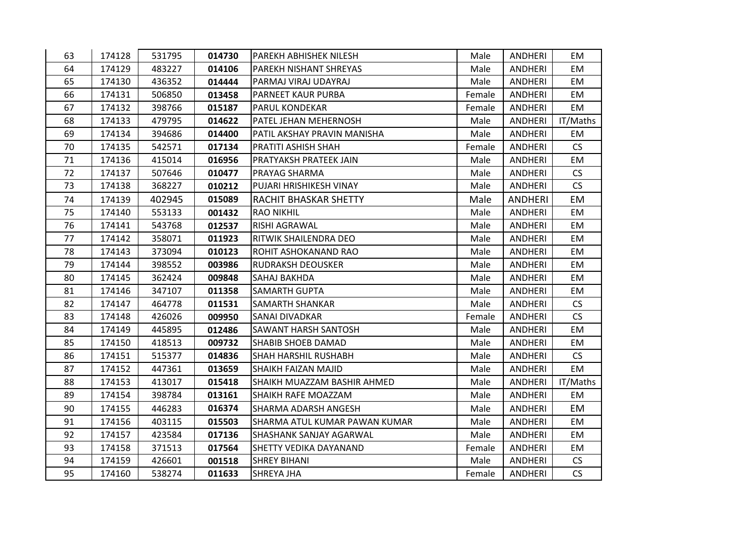| 63 | 174128 | 531795 | 014730 | PAREKH ABHISHEK NILESH        | Male   | ANDHERI        | EM.       |
|----|--------|--------|--------|-------------------------------|--------|----------------|-----------|
| 64 | 174129 | 483227 | 014106 | PAREKH NISHANT SHREYAS        | Male   | <b>ANDHERI</b> | EM        |
| 65 | 174130 | 436352 | 014444 | PARMAJ VIRAJ UDAYRAJ          | Male   | ANDHERI        | EM        |
| 66 | 174131 | 506850 | 013458 | PARNEET KAUR PURBA            | Female | <b>ANDHERI</b> | <b>EM</b> |
| 67 | 174132 | 398766 | 015187 | PARUL KONDEKAR                | Female | <b>ANDHERI</b> | EM        |
| 68 | 174133 | 479795 | 014622 | PATEL JEHAN MEHERNOSH         | Male   | <b>ANDHERI</b> | IT/Maths  |
| 69 | 174134 | 394686 | 014400 | PATIL AKSHAY PRAVIN MANISHA   | Male   | <b>ANDHERI</b> | <b>EM</b> |
| 70 | 174135 | 542571 | 017134 | PRATITI ASHISH SHAH           | Female | ANDHERI        | <b>CS</b> |
| 71 | 174136 | 415014 | 016956 | PRATYAKSH PRATEEK JAIN        | Male   | <b>ANDHERI</b> | EM        |
| 72 | 174137 | 507646 | 010477 | PRAYAG SHARMA                 | Male   | ANDHERI        | CS        |
| 73 | 174138 | 368227 | 010212 | PUJARI HRISHIKESH VINAY       | Male   | <b>ANDHERI</b> | CS        |
| 74 | 174139 | 402945 | 015089 | RACHIT BHASKAR SHETTY         | Male   | <b>ANDHERI</b> | EM        |
| 75 | 174140 | 553133 | 001432 | <b>RAO NIKHIL</b>             | Male   | <b>ANDHERI</b> | EM        |
| 76 | 174141 | 543768 | 012537 | RISHI AGRAWAL                 | Male   | <b>ANDHERI</b> | EM        |
| 77 | 174142 | 358071 | 011923 | RITWIK SHAILENDRA DEO         | Male   | <b>ANDHERI</b> | EM        |
| 78 | 174143 | 373094 | 010123 | ROHIT ASHOKANAND RAO          | Male   | <b>ANDHERI</b> | EM        |
| 79 | 174144 | 398552 | 003986 | <b>RUDRAKSH DEOUSKER</b>      | Male   | ANDHERI        | EM        |
| 80 | 174145 | 362424 | 009848 | SAHAJ BAKHDA                  | Male   | <b>ANDHERI</b> | <b>EM</b> |
| 81 | 174146 | 347107 | 011358 | <b>SAMARTH GUPTA</b>          | Male   | <b>ANDHERI</b> | EM        |
| 82 | 174147 | 464778 | 011531 | SAMARTH SHANKAR               | Male   | <b>ANDHERI</b> | <b>CS</b> |
| 83 | 174148 | 426026 | 009950 | SANAI DIVADKAR                | Female | <b>ANDHERI</b> | <b>CS</b> |
| 84 | 174149 | 445895 | 012486 | SAWANT HARSH SANTOSH          | Male   | <b>ANDHERI</b> | EM        |
| 85 | 174150 | 418513 | 009732 | <b>SHABIB SHOEB DAMAD</b>     | Male   | <b>ANDHERI</b> | EM        |
| 86 | 174151 | 515377 | 014836 | SHAH HARSHIL RUSHABH          | Male   | ANDHERI        | <b>CS</b> |
| 87 | 174152 | 447361 | 013659 | SHAIKH FAIZAN MAJID           | Male   | <b>ANDHERI</b> | <b>EM</b> |
| 88 | 174153 | 413017 | 015418 | SHAIKH MUAZZAM BASHIR AHMED   | Male   | ANDHERI        | IT/Maths  |
| 89 | 174154 | 398784 | 013161 | SHAIKH RAFE MOAZZAM           | Male   | <b>ANDHERI</b> | EM        |
| 90 | 174155 | 446283 | 016374 | SHARMA ADARSH ANGESH          | Male   | <b>ANDHERI</b> | EM        |
| 91 | 174156 | 403115 | 015503 | SHARMA ATUL KUMAR PAWAN KUMAR | Male   | <b>ANDHERI</b> | EM        |
| 92 | 174157 | 423584 | 017136 | SHASHANK SANJAY AGARWAL       | Male   | <b>ANDHERI</b> | <b>EM</b> |
| 93 | 174158 | 371513 | 017564 | SHETTY VEDIKA DAYANAND        | Female | <b>ANDHERI</b> | EM        |
| 94 | 174159 | 426601 | 001518 | <b>SHREY BIHANI</b>           | Male   | <b>ANDHERI</b> | CS        |
| 95 | 174160 | 538274 | 011633 | SHREYA JHA                    | Female | ANDHERI        | CS        |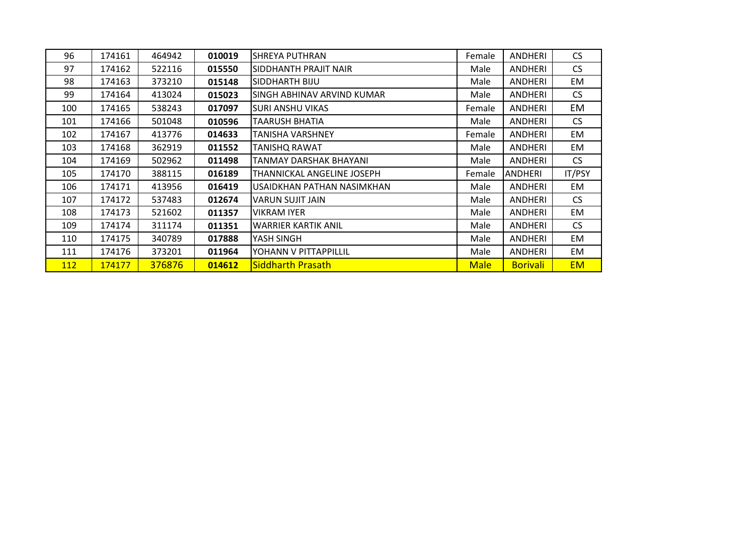| 96  | 174161 | 464942 | 010019 | <b>SHREYA PUTHRAN</b>       | Female      | <b>ANDHERI</b>  | <b>CS</b>     |
|-----|--------|--------|--------|-----------------------------|-------------|-----------------|---------------|
| 97  | 174162 | 522116 | 015550 | SIDDHANTH PRAJIT NAIR       | Male        | <b>ANDHERI</b>  | CS            |
| 98  | 174163 | 373210 | 015148 | SIDDHARTH BIJU              | Male        | <b>ANDHERI</b>  | EM            |
| 99  | 174164 | 413024 | 015023 | ISINGH ABHINAV ARVIND KUMAR | Male        | ANDHERI         | CS            |
| 100 | 174165 | 538243 | 017097 | ISURI ANSHU VIKAS           | Female      | <b>ANDHERI</b>  | EM            |
| 101 | 174166 | 501048 | 010596 | <b>TAARUSH BHATIA</b>       | Male        | <b>ANDHERI</b>  | CS            |
| 102 | 174167 | 413776 | 014633 | TANISHA VARSHNEY            | Female      | <b>ANDHERI</b>  | EM            |
| 103 | 174168 | 362919 | 011552 | <b>TANISHQ RAWAT</b>        | Male        | ANDHERI         | EM            |
| 104 | 174169 | 502962 | 011498 | TANMAY DARSHAK BHAYANI      | Male        | ANDHERI         | <b>CS</b>     |
| 105 | 174170 | 388115 | 016189 | THANNICKAL ANGELINE JOSEPH  | Female      | <b>ANDHERI</b>  | <b>IT/PSY</b> |
| 106 | 174171 | 413956 | 016419 | USAIDKHAN PATHAN NASIMKHAN  | Male        | <b>ANDHERI</b>  | EM            |
| 107 | 174172 | 537483 | 012674 | VARUN SUJIT JAIN            | Male        | <b>ANDHERI</b>  | CS            |
| 108 | 174173 | 521602 | 011357 | <b>VIKRAM IYER</b>          | Male        | <b>ANDHERI</b>  | EM            |
| 109 | 174174 | 311174 | 011351 | <b>WARRIER KARTIK ANIL</b>  | Male        | ANDHERI         | <b>CS</b>     |
| 110 | 174175 | 340789 | 017888 | YASH SINGH                  | Male        | <b>ANDHERI</b>  | EM            |
| 111 | 174176 | 373201 | 011964 | YOHANN V PITTAPPILLIL       | Male        | <b>ANDHERI</b>  | EM            |
| 112 | 174177 | 376876 | 014612 | <b>Siddharth Prasath</b>    | <b>Male</b> | <b>Borivali</b> | <b>EM</b>     |